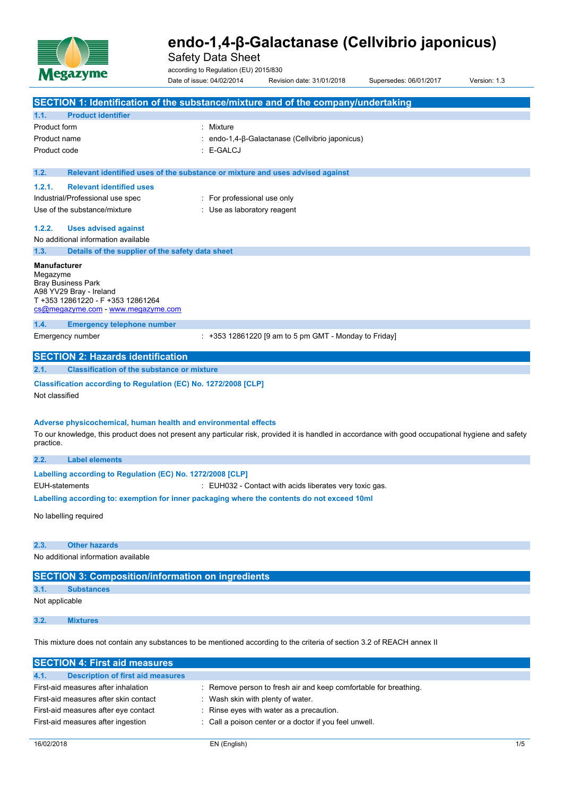

Safety Data Sheet

according to Regulation (EU) 2015/830

Date of issue: 04/02/2014 Revision date: 31/01/2018 Supersedes: 06/01/2017 Version: 1.3 **SECTION 1: Identification of the substance/mixture and of the company/undertaking 1.1. Product identifier** Product form **: Mixture** Product name **interest in the contract of the contract** endo-1,4-β-Galactanase (Cellvibrio japonicus) Product code  $\qquad \qquad : E\text{-}\mathsf{GALCJ}$ **1.2. Relevant identified uses of the substance or mixture and uses advised against 1.2.1. Relevant identified uses** Industrial/Professional use spec : For professional use only Use of the substance/mixture in the substance of the substance of the substance of the substance of the substance of the substance of the substance of the substance of the substance of the substance of the substance of the **1.2.2. Uses advised against** No additional information available **1.3. Details of the supplier of the safety data sheet Manufacturer** Megazyme Bray Business Park A98 YV29 Bray - Ireland T +353 12861220 - F +353 12861264 [cs@megazyme.com](mailto:cs@megazyme.com) - <www.megazyme.com> **1.4. Emergency telephone number** Emergency number :  $+353$  12861220 [9 am to 5 pm GMT - Monday to Friday]

# **SECTION 2: Hazards identification**

**2.1. Classification of the substance or mixture**

### **Classification according to Regulation (EC) No. 1272/2008 [CLP]**

Not classified

### **Adverse physicochemical, human health and environmental effects**

To our knowledge, this product does not present any particular risk, provided it is handled in accordance with good occupational hygiene and safety practice.

| 2.2.                                                                                        | <b>Label elements</b>                                      |                                                         |  |
|---------------------------------------------------------------------------------------------|------------------------------------------------------------|---------------------------------------------------------|--|
|                                                                                             | Labelling according to Regulation (EC) No. 1272/2008 [CLP] |                                                         |  |
|                                                                                             | EUH-statements                                             | . EUH032 - Contact with acids liberates very toxic gas. |  |
| Labelling according to: exemption for inner packaging where the contents do not exceed 10ml |                                                            |                                                         |  |
|                                                                                             | المستندم ومستور المستلك والمرابط                           |                                                         |  |

No labelling required

#### **2.3. Other hazards**

No additional information available

| <b>SECTION 3: Composition/information on ingredients</b> |                   |  |  |  |
|----------------------------------------------------------|-------------------|--|--|--|
| 3.1.                                                     | <b>Substances</b> |  |  |  |
| Not applicable                                           |                   |  |  |  |
| 3.2.                                                     | <b>Mixtures</b>   |  |  |  |

This mixture does not contain any substances to be mentioned according to the criteria of section 3.2 of REACH annex II

| <b>SECTION 4: First aid measures</b>             |                                                                  |
|--------------------------------------------------|------------------------------------------------------------------|
| <b>Description of first aid measures</b><br>4.1. |                                                                  |
| First-aid measures after inhalation              | : Remove person to fresh air and keep comfortable for breathing. |
| First-aid measures after skin contact            | Wash skin with plenty of water.                                  |
| First-aid measures after eye contact             | : Rinse eyes with water as a precaution.                         |
| First-aid measures after ingestion               | : Call a poison center or a doctor if you feel unwell.           |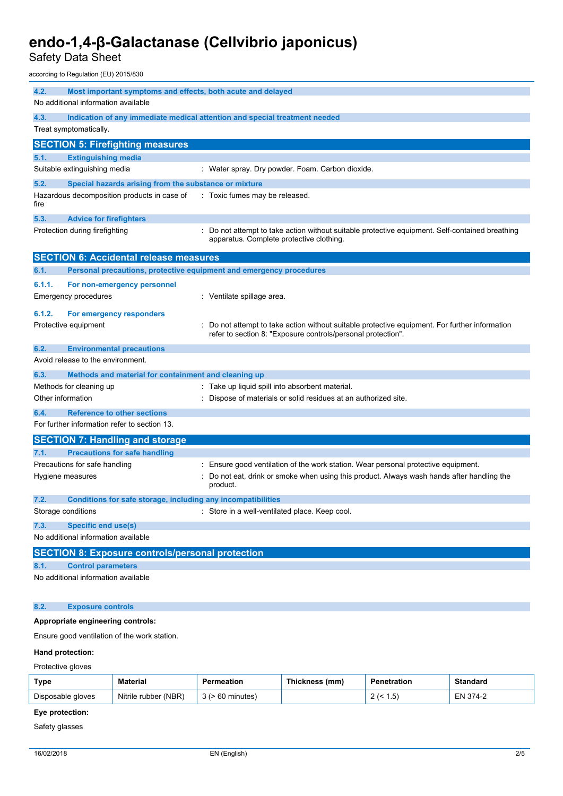Safety Data Sheet

according to Regulation (EU) 2015/830

| 4.2.              | Most important symptoms and effects, both acute and delayed<br>No additional information available |                                                                                                                                                              |  |  |
|-------------------|----------------------------------------------------------------------------------------------------|--------------------------------------------------------------------------------------------------------------------------------------------------------------|--|--|
| 4.3.              | Indication of any immediate medical attention and special treatment needed                         |                                                                                                                                                              |  |  |
|                   | Treat symptomatically.                                                                             |                                                                                                                                                              |  |  |
|                   | <b>SECTION 5: Firefighting measures</b>                                                            |                                                                                                                                                              |  |  |
| 5.1.              | <b>Extinguishing media</b>                                                                         |                                                                                                                                                              |  |  |
|                   | Suitable extinguishing media                                                                       | : Water spray. Dry powder. Foam. Carbon dioxide.                                                                                                             |  |  |
| 5.2.              | Special hazards arising from the substance or mixture                                              |                                                                                                                                                              |  |  |
| fire              | Hazardous decomposition products in case of                                                        | : Toxic fumes may be released.                                                                                                                               |  |  |
| 5.3.              | <b>Advice for firefighters</b>                                                                     |                                                                                                                                                              |  |  |
|                   | Protection during firefighting                                                                     | Do not attempt to take action without suitable protective equipment. Self-contained breathing<br>apparatus. Complete protective clothing.                    |  |  |
|                   | <b>SECTION 6: Accidental release measures</b>                                                      |                                                                                                                                                              |  |  |
| 6.1.              | Personal precautions, protective equipment and emergency procedures                                |                                                                                                                                                              |  |  |
| 6.1.1.            | For non-emergency personnel<br><b>Emergency procedures</b>                                         | : Ventilate spillage area.                                                                                                                                   |  |  |
| 6.1.2.            | For emergency responders<br>Protective equipment                                                   | Do not attempt to take action without suitable protective equipment. For further information<br>refer to section 8: "Exposure controls/personal protection". |  |  |
| 6.2.              | <b>Environmental precautions</b>                                                                   |                                                                                                                                                              |  |  |
|                   | Avoid release to the environment.                                                                  |                                                                                                                                                              |  |  |
| 6.3.              | Methods and material for containment and cleaning up                                               |                                                                                                                                                              |  |  |
|                   | Methods for cleaning up                                                                            | : Take up liquid spill into absorbent material.                                                                                                              |  |  |
| Other information |                                                                                                    | Dispose of materials or solid residues at an authorized site.                                                                                                |  |  |
| 6.4.              | <b>Reference to other sections</b>                                                                 |                                                                                                                                                              |  |  |
|                   | For further information refer to section 13.                                                       |                                                                                                                                                              |  |  |
|                   | <b>SECTION 7: Handling and storage</b>                                                             |                                                                                                                                                              |  |  |
| 7.1.              | <b>Precautions for safe handling</b>                                                               |                                                                                                                                                              |  |  |
|                   | Precautions for safe handling                                                                      | Ensure good ventilation of the work station. Wear personal protective equipment.                                                                             |  |  |
|                   | Hygiene measures                                                                                   | Do not eat, drink or smoke when using this product. Always wash hands after handling the<br>product.                                                         |  |  |
| 7.2.              | Conditions for safe storage, including any incompatibilities                                       |                                                                                                                                                              |  |  |
|                   | Storage conditions                                                                                 | : Store in a well-ventilated place. Keep cool.                                                                                                               |  |  |
| 7.3.              | <b>Specific end use(s)</b>                                                                         |                                                                                                                                                              |  |  |
|                   | No additional information available                                                                |                                                                                                                                                              |  |  |
|                   | <b>SECTION 8: Exposure controls/personal protection</b>                                            |                                                                                                                                                              |  |  |
| 8.1.              | <b>Control parameters</b>                                                                          |                                                                                                                                                              |  |  |
|                   | No additional information available                                                                |                                                                                                                                                              |  |  |
| 8.2.              | <b>Exposure controls</b>                                                                           |                                                                                                                                                              |  |  |

#### **Appropriate engineering controls:**

Ensure good ventilation of the work station.

#### **Hand protection:**

Protective gloves

| Type              | Material             | Permeation            | Thickness (mm) | Penetration        | <b>Standard</b> |
|-------------------|----------------------|-----------------------|----------------|--------------------|-----------------|
| Disposable gloves | Nitrile rubber (NBR) | $3$ ( $> 60$ minutes) |                | 1.5)<br>$\epsilon$ | EN 374-2        |

## **Eye protection:**

Safety glasses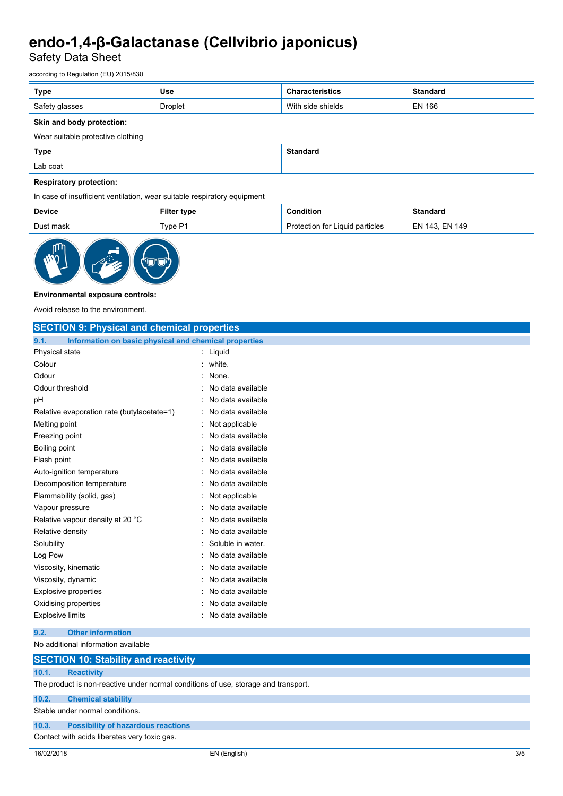Safety Data Sheet

according to Regulation (EU) 2015/830

| Type           | <b>Use</b> | 'istics           | <b>Standard</b> |
|----------------|------------|-------------------|-----------------|
| Safety glasses | Droplet    | With side shields | EN 166          |

### **Skin and body protection:**

Wear suitable protective clothing

| <b>Type</b> | <b>Standard</b> |
|-------------|-----------------|
| Lab coat    |                 |

### **Respiratory protection:**

In case of insufficient ventilation, wear suitable respiratory equipment

| <b>Device</b> | Filter<br>type   | dition.                          | ndard                 |
|---------------|------------------|----------------------------------|-----------------------|
| ופוור<br>mool | ים.<br>$r$ vpe r | Liquid particles<br>t∩r<br>∵tı∩n | EN 149<br>143<br>- N. |



#### **Environmental exposure controls:**

Avoid release to the environment.

| <b>SECTION 9: Physical and chemical properties</b>            |                     |
|---------------------------------------------------------------|---------------------|
| 9.1.<br>Information on basic physical and chemical properties |                     |
| Physical state                                                | $:$ Liquid          |
| Colour                                                        | : white.            |
| Odour                                                         | : None.             |
| Odour threshold                                               | : No data available |
| рH                                                            | No data available   |
| Relative evaporation rate (butylacetate=1)                    | : No data available |
| Melting point                                                 | : Not applicable    |
| Freezing point                                                | : No data available |
| Boiling point                                                 | : No data available |
| Flash point                                                   | : No data available |
| Auto-ignition temperature                                     | : No data available |
| Decomposition temperature                                     | No data available   |
| Flammability (solid, gas)                                     | : Not applicable    |
| Vapour pressure                                               | : No data available |
| Relative vapour density at 20 °C                              | : No data available |
| Relative density                                              | : No data available |
| Solubility                                                    | Soluble in water.   |
| Log Pow                                                       | No data available   |
| Viscosity, kinematic                                          | No data available   |
| Viscosity, dynamic                                            | : No data available |
| <b>Explosive properties</b>                                   | No data available   |
| Oxidising properties                                          | : No data available |
| <b>Explosive limits</b>                                       | : No data available |
| 9.2.<br><b>Other information</b>                              |                     |

# No additional information available

## **SECTION 10: Stability and reactivity 10.1. Reactivity** The product is non-reactive under normal conditions of use, storage and transport.

**10.2. Chemical stability**

Stable under normal conditions.

#### **10.3. Possibility of hazardous reactions**

Contact with acids liberates very toxic gas.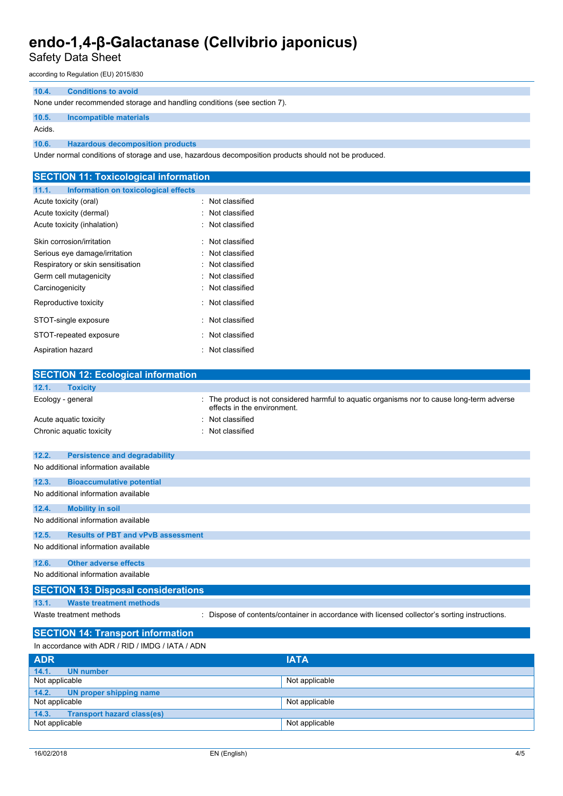Safety Data Sheet

according to Regulation (EU) 2015/830

#### **10.4. Conditions to avoid**

None under recommended storage and handling conditions (see section 7).

#### **10.5. Incompatible materials**

Acids.

**10.6. Hazardous decomposition products**

Under normal conditions of storage and use, hazardous decomposition products should not be produced.

| <b>SECTION 11: Toxicological information</b>  |                                                                                                                          |
|-----------------------------------------------|--------------------------------------------------------------------------------------------------------------------------|
| 11.1.<br>Information on toxicological effects |                                                                                                                          |
| Acute toxicity (oral)                         | : Not classified                                                                                                         |
| Acute toxicity (dermal)                       | : Not classified                                                                                                         |
| Acute toxicity (inhalation)                   | : Not classified                                                                                                         |
| Skin corrosion/irritation                     | : Not classified                                                                                                         |
| Serious eye damage/irritation                 | : Not classified                                                                                                         |
| Respiratory or skin sensitisation             | : Not classified                                                                                                         |
| Germ cell mutagenicity                        | : Not classified                                                                                                         |
| Carcinogenicity                               | : Not classified                                                                                                         |
| Reproductive toxicity                         | : Not classified                                                                                                         |
| STOT-single exposure                          | : Not classified                                                                                                         |
| STOT-repeated exposure                        | : Not classified                                                                                                         |
| Aspiration hazard                             | : Not classified                                                                                                         |
|                                               |                                                                                                                          |
| <b>SECTION 12: Ecological information</b>     |                                                                                                                          |
| 12.1.<br><b>Toxicity</b>                      |                                                                                                                          |
| Ecology - general                             | The product is not considered harmful to aquatic organisms nor to cause long-term adverse<br>effects in the environment. |

| Acute aquatic toxicity              |                                      | : Not classified |  |
|-------------------------------------|--------------------------------------|------------------|--|
|                                     | Chronic aquatic toxicity             | Not classified   |  |
|                                     |                                      |                  |  |
| 12.2.                               | <b>Persistence and degradability</b> |                  |  |
|                                     |                                      |                  |  |
|                                     | No additional information available  |                  |  |
| 12.3.                               | <b>Bioaccumulative potential</b>     |                  |  |
| No additional information available |                                      |                  |  |
|                                     |                                      |                  |  |

**12.4. Mobility in soil** No additional information available

#### **12.5. Results of PBT and vPvB assessment**

No additional information available

## **12.6. Other adverse effects**

No additional information available

## **SECTION 13: Disposal considerations**

**13.1. Waste treatment methods**

Waste treatment methods : Dispose of contents/container in accordance with licensed collector's sorting instructions.

## **SECTION 14: Transport information**

| In accordance with ADR / RID / IMDG / IATA / ADN |                |  |  |
|--------------------------------------------------|----------------|--|--|
| <b>ADR</b>                                       | <b>IATA</b>    |  |  |
| 14.1.<br><b>UN number</b>                        |                |  |  |
| Not applicable<br>Not applicable                 |                |  |  |
| 14.2.<br>UN proper shipping name                 |                |  |  |
| Not applicable                                   | Not applicable |  |  |
| <b>Transport hazard class(es)</b><br>14.3.       |                |  |  |
| Not applicable<br>Not applicable                 |                |  |  |